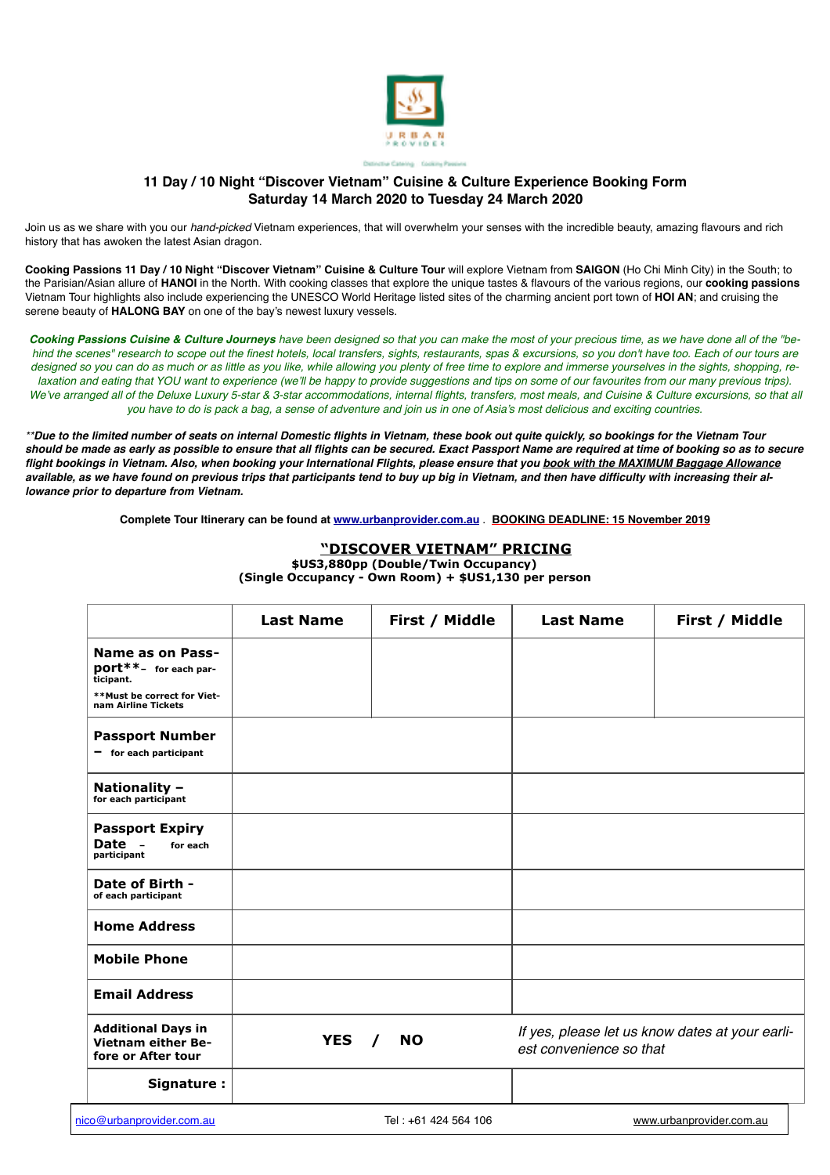

# **11 Day / 10 Night "Discover Vietnam" Cuisine & Culture Experience Booking Form Saturday 14 March 2020 to Tuesday 24 March 2020**

Join us as we share with you our *hand-picked* Vietnam experiences, that will overwhelm your senses with the incredible beauty, amazing flavours and rich history that has awoken the latest Asian dragon.

**Cooking Passions 11 Day / 10 Night "Discover Vietnam" Cuisine & Culture Tour** will explore Vietnam from **SAIGON** (Ho Chi Minh City) in the South; to the Parisian/Asian allure of **HANOI** in the North. With cooking classes that explore the unique tastes & flavours of the various regions, our **cooking passions** Vietnam Tour highlights also include experiencing the UNESCO World Heritage listed sites of the charming ancient port town of **HOI AN**; and cruising the serene beauty of **HALONG BAY** on one of the bay's newest luxury vessels.

*Cooking Passions Cuisine & Culture Journeys have been designed so that you can make the most of your precious time, as we have done all of the "behind the scenes" research to scope out the finest hotels, local transfers, sights, restaurants, spas & excursions, so you don't have too. Each of our tours are*  designed so you can do as much or as little as you like, while allowing you plenty of free time to explore and immerse yourselves in the sights, shopping, re*laxation and eating that YOU want to experience (we'll be happy to provide suggestions and tips on some of our favourites from our many previous trips).* We've arranged all of the Deluxe Luxury 5-star & 3-star accommodations, internal flights, transfers, most meals, and Cuisine & Culture excursions, so that all *you have to do is pack a bag, a sense of adventure and join us in one of Asia's most delicious and exciting countries.*

*\*\*Due to the limited number of seats on internal Domestic flights in Vietnam, these book out quite quickly, so bookings for the Vietnam Tour should be made as early as possible to ensure that all flights can be secured. Exact Passport Name are required at time of booking so as to secure flight bookings in Vietnam. Also, when booking your International Flights, please ensure that you book with the MAXIMUM Baggage Allowance available, as we have found on previous trips that participants tend to buy up big in Vietnam, and then have difficulty with increasing their allowance prior to departure from Vietnam.*

**Complete Tour Itinerary can be found at [www.urbanprovider.com.au](http://www.urbanprovider.com.au)** . **BOOKING DEADLINE: 15 November 2019**

## **"DISCOVER VIETNAM" PRICING**

|                                                                              | <b>Last Name</b> | First / Middle        | <b>Last Name</b>        | First / Middle                                  |
|------------------------------------------------------------------------------|------------------|-----------------------|-------------------------|-------------------------------------------------|
| Name as on Pass-<br>port**- for each par-<br>ticipant.                       |                  |                       |                         |                                                 |
| **Must be correct for Viet-<br>nam Airline Tickets                           |                  |                       |                         |                                                 |
| <b>Passport Number</b><br>$-$ for each participant                           |                  |                       |                         |                                                 |
| Nationality -<br>for each participant                                        |                  |                       |                         |                                                 |
| <b>Passport Expiry</b><br>Date -<br>for each<br>participant                  |                  |                       |                         |                                                 |
| Date of Birth -<br>of each participant                                       |                  |                       |                         |                                                 |
| <b>Home Address</b>                                                          |                  |                       |                         |                                                 |
| <b>Mobile Phone</b>                                                          |                  |                       |                         |                                                 |
| <b>Email Address</b>                                                         |                  |                       |                         |                                                 |
| <b>Additional Days in</b><br><b>Vietnam either Be-</b><br>fore or After tour | <b>YES</b>       | <b>NO</b><br>$\prime$ | est convenience so that | If yes, please let us know dates at your earli- |
| Signature:                                                                   |                  |                       |                         |                                                 |
| nico@urbanprovider.com.au                                                    |                  | Tel: +61 424 564 106  |                         | www.urbanprovider.com.au                        |

**\$US3,880pp (Double/Twin Occupancy) (Single Occupancy - Own Room) + \$US1,130 per person**